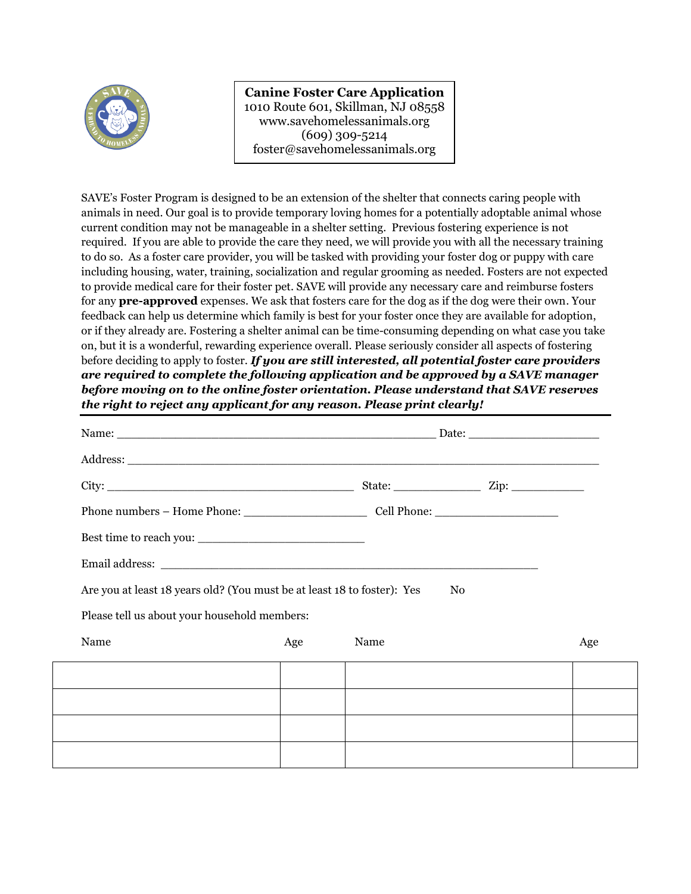

**Canine Foster Care Application** 1010 Route 601, Skillman, NJ 08558 www.savehomelessanimals.org (609) 309-5214 foster@savehomelessanimals.org

SAVE's Foster Program is designed to be an extension of the shelter that connects caring people with animals in need. Our goal is to provide temporary loving homes for a potentially adoptable animal whose current condition may not be manageable in a shelter setting. Previous fostering experience is not required. If you are able to provide the care they need, we will provide you with all the necessary training to do so. As a foster care provider, you will be tasked with providing your foster dog or puppy with care including housing, water, training, socialization and regular grooming as needed. Fosters are not expected to provide medical care for their foster pet. SAVE will provide any necessary care and reimburse fosters for any **pre-approved** expenses. We ask that fosters care for the dog as if the dog were their own. Your feedback can help us determine which family is best for your foster once they are available for adoption, or if they already are. Fostering a shelter animal can be time-consuming depending on what case you take on, but it is a wonderful, rewarding experience overall. Please seriously consider all aspects of fostering before deciding to apply to foster. *If you are still interested, all potential foster care providers are required to complete the following application and be approved by a SAVE manager before moving on to the online foster orientation. Please understand that SAVE reserves the right to reject any applicant for any reason. Please print clearly!*

| $\text{City:}\n \begin{picture}(150,10) \put(0,0){\dashbox{0.5}(10,0){ }} \put(150,0){\dashbox{0.5}(10,0){ }} \put(150,0){\dashbox{0.5}(10,0){ }} \put(150,0){\dashbox{0.5}(10,0){ }} \put(150,0){\dashbox{0.5}(10,0){ }} \put(150,0){\dashbox{0.5}(10,0){ }} \put(150,0){\dashbox{0.5}(10,0){ }} \put(150,0){\dashbox{0.5}(10,0){ }} \put(150,0){\dashbox{0.5}(10$ |     | State: $\frac{1}{\sqrt{2}}$ Zip: $\frac{1}{\sqrt{2}}$ |     |
|---------------------------------------------------------------------------------------------------------------------------------------------------------------------------------------------------------------------------------------------------------------------------------------------------------------------------------------------------------------------|-----|-------------------------------------------------------|-----|
|                                                                                                                                                                                                                                                                                                                                                                     |     |                                                       |     |
| Best time to reach you:                                                                                                                                                                                                                                                                                                                                             |     |                                                       |     |
|                                                                                                                                                                                                                                                                                                                                                                     |     |                                                       |     |
| Are you at least 18 years old? (You must be at least 18 to foster): Yes                                                                                                                                                                                                                                                                                             |     | N <sub>0</sub>                                        |     |
| Please tell us about your household members:                                                                                                                                                                                                                                                                                                                        |     |                                                       |     |
| Name                                                                                                                                                                                                                                                                                                                                                                | Age | Name                                                  | Age |
|                                                                                                                                                                                                                                                                                                                                                                     |     |                                                       |     |
|                                                                                                                                                                                                                                                                                                                                                                     |     |                                                       |     |
|                                                                                                                                                                                                                                                                                                                                                                     |     |                                                       |     |
|                                                                                                                                                                                                                                                                                                                                                                     |     |                                                       |     |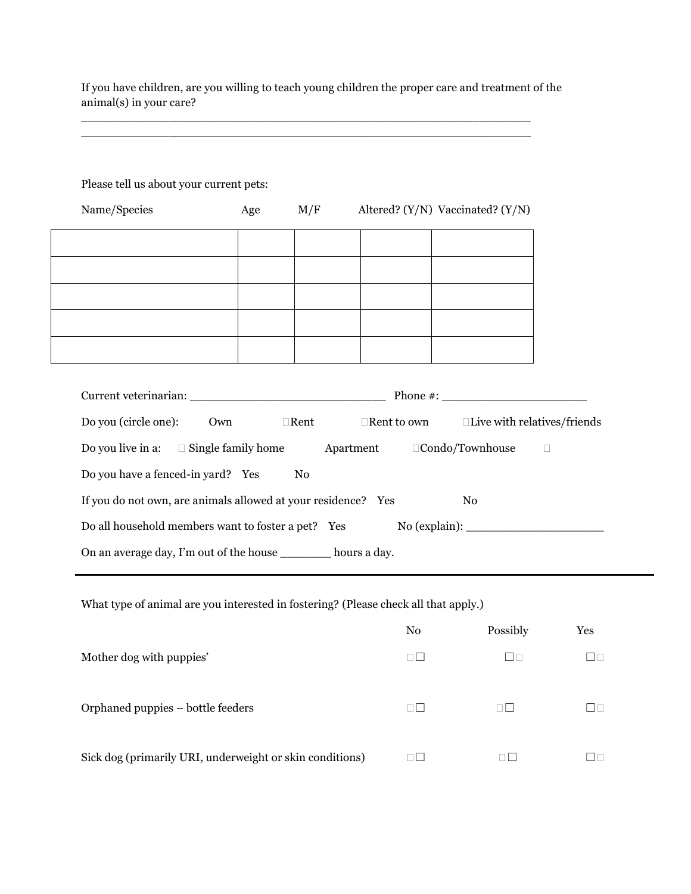If you have children, are you willing to teach young children the proper care and treatment of the animal(s) in your care?

 $\_$  ,  $\_$  ,  $\_$  ,  $\_$  ,  $\_$  ,  $\_$  ,  $\_$  ,  $\_$  ,  $\_$  ,  $\_$  ,  $\_$  ,  $\_$  ,  $\_$  ,  $\_$  ,  $\_$  ,  $\_$  ,  $\_$  ,  $\_$  ,  $\_$  $\Box$  . The contribution of the contribution of the contribution of the contribution of the contribution of the contribution of the contribution of the contribution of the contribution of the contribution of the contributi

| Name/Species                                                                       | Age | M/F            | Altered? $(Y/N)$ Vaccinated? $(Y/N)$ |        |
|------------------------------------------------------------------------------------|-----|----------------|--------------------------------------|--------|
|                                                                                    |     |                |                                      |        |
|                                                                                    |     |                |                                      |        |
|                                                                                    |     |                |                                      |        |
|                                                                                    |     |                |                                      |        |
|                                                                                    |     |                |                                      |        |
|                                                                                    |     |                |                                      |        |
|                                                                                    |     |                |                                      |        |
|                                                                                    |     |                |                                      |        |
|                                                                                    |     |                |                                      |        |
| Do you (circle one): Own □Rent □Rent □ Oken to own □Live with relatives/friends    |     |                |                                      |        |
| Do you live in a: $\square$ Single family home Apartment $\square$ Condo/Townhouse |     |                |                                      | $\Box$ |
| Do you have a fenced-in yard? Yes                                                  |     | N <sub>0</sub> |                                      |        |
| If you do not own, are animals allowed at your residence? Yes                      |     |                | No                                   |        |
|                                                                                    |     |                |                                      |        |
|                                                                                    |     |                |                                      |        |
| Do all household members want to foster a pet? Yes                                 |     |                |                                      |        |

What type of animal are you interested in fostering? (Please check all that apply.)

|                                                          | N <sub>0</sub> | Possibly | Yes  |
|----------------------------------------------------------|----------------|----------|------|
| Mother dog with puppies'                                 | ПO             | Пn       |      |
| Orphaned puppies – bottle feeders                        | $\Box$         | пП       | l In |
| Sick dog (primarily URI, underweight or skin conditions) | $\Box\Box$     |          |      |